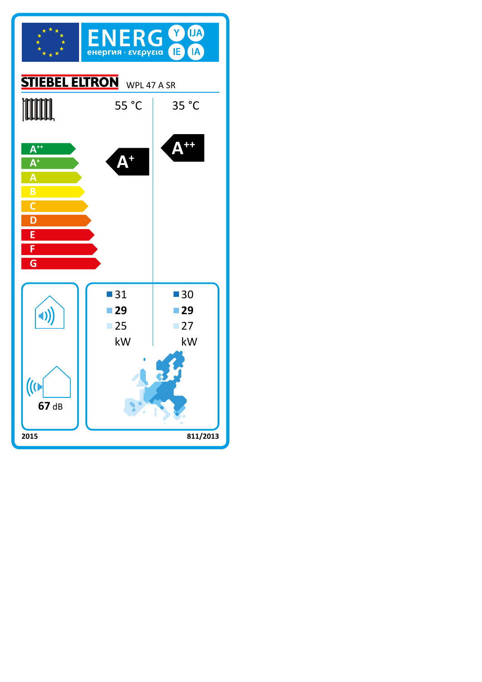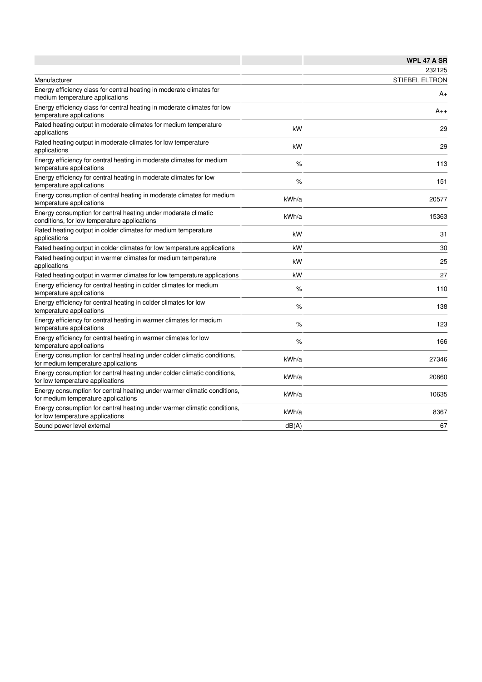|                                                                                                                 |       | <b>WPL 47 A SR</b>    |
|-----------------------------------------------------------------------------------------------------------------|-------|-----------------------|
|                                                                                                                 |       | 232125                |
| Manufacturer                                                                                                    |       | <b>STIEBEL ELTRON</b> |
| Energy efficiency class for central heating in moderate climates for<br>medium temperature applications         |       | A+                    |
| Energy efficiency class for central heating in moderate climates for low<br>temperature applications            |       | $A_{++}$              |
| Rated heating output in moderate climates for medium temperature<br>applications                                | kW    | 29                    |
| Rated heating output in moderate climates for low temperature<br>applications                                   | kW    | 29                    |
| Energy efficiency for central heating in moderate climates for medium<br>temperature applications               | %     | 113                   |
| Energy efficiency for central heating in moderate climates for low<br>temperature applications                  | %     | 151                   |
| Energy consumption of central heating in moderate climates for medium<br>temperature applications               | kWh/a | 20577                 |
| Energy consumption for central heating under moderate climatic<br>conditions, for low temperature applications  | kWh/a | 15363                 |
| Rated heating output in colder climates for medium temperature<br>applications                                  | kW    | 31                    |
| Rated heating output in colder climates for low temperature applications                                        | kW    | 30                    |
| Rated heating output in warmer climates for medium temperature<br>applications                                  | kW    | 25                    |
| Rated heating output in warmer climates for low temperature applications                                        | kW    | 27                    |
| Energy efficiency for central heating in colder climates for medium<br>temperature applications                 | %     | 110                   |
| Energy efficiency for central heating in colder climates for low<br>temperature applications                    | $\%$  | 138                   |
| Energy efficiency for central heating in warmer climates for medium<br>temperature applications                 | %     | 123                   |
| Energy efficiency for central heating in warmer climates for low<br>temperature applications                    | $\%$  | 166                   |
| Energy consumption for central heating under colder climatic conditions,<br>for medium temperature applications | kWh/a | 27346                 |
| Energy consumption for central heating under colder climatic conditions,<br>for low temperature applications    | kWh/a | 20860                 |
| Energy consumption for central heating under warmer climatic conditions,<br>for medium temperature applications | kWh/a | 10635                 |
| Energy consumption for central heating under warmer climatic conditions,<br>for low temperature applications    | kWh/a | 8367                  |
| Sound power level external                                                                                      | dB(A) | 67                    |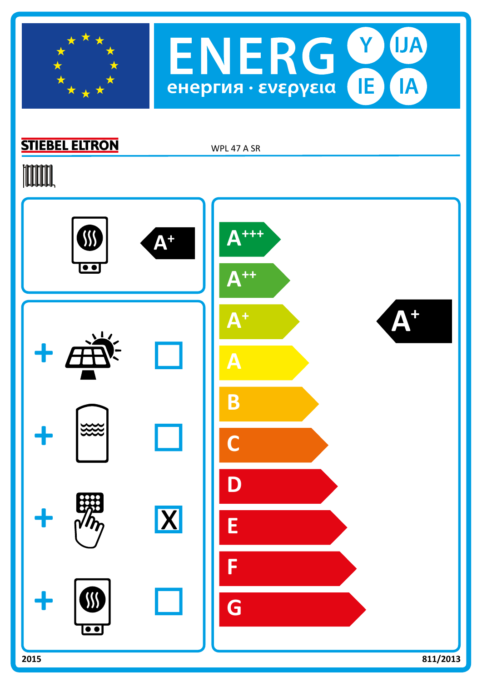



## **STIEBEL ELTRON**

WPL 47 A SR

## **TOOTAL**

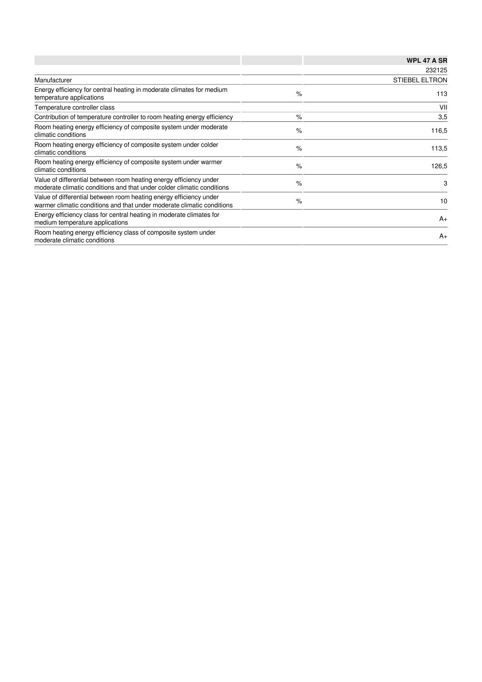|                                                                                                                                              |      | <b>WPL 47 A SR</b>    |
|----------------------------------------------------------------------------------------------------------------------------------------------|------|-----------------------|
|                                                                                                                                              |      | 232125                |
| Manufacturer                                                                                                                                 |      | <b>STIEBEL ELTRON</b> |
| Energy efficiency for central heating in moderate climates for medium<br>temperature applications                                            | $\%$ | 113                   |
| Temperature controller class                                                                                                                 |      | VII                   |
| Contribution of temperature controller to room heating energy efficiency                                                                     | $\%$ | 3,5                   |
| Room heating energy efficiency of composite system under moderate<br>climatic conditions                                                     | $\%$ | 116,5                 |
| Room heating energy efficiency of composite system under colder<br>climatic conditions                                                       | $\%$ | 113,5                 |
| Room heating energy efficiency of composite system under warmer<br>climatic conditions                                                       | $\%$ | 126,5                 |
| Value of differential between room heating energy efficiency under<br>moderate climatic conditions and that under colder climatic conditions | $\%$ | 3                     |
| Value of differential between room heating energy efficiency under<br>warmer climatic conditions and that under moderate climatic conditions | $\%$ | 10                    |
| Energy efficiency class for central heating in moderate climates for<br>medium temperature applications                                      |      | $A+$                  |
| Room heating energy efficiency class of composite system under<br>moderate climatic conditions                                               |      | $A+$                  |